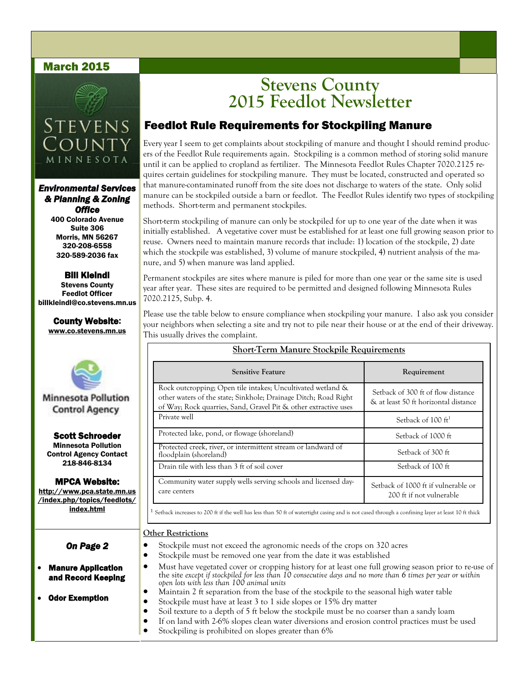#### March 2015



## **STEVENS COUNT** MINNESOTA

*Environmental Services & Planning & Zoning Office* 

400 Colorado Avenue Suite 306 Morris, MN 56267 320-208-6558 320-589-2036 fax

Bill Kleindl Stevens County Feedlot Officer billkleindl@co.stevens.mn.us

County Website: www.co.stevens.mn.us



**Minnesota Pollution Control Agency** 

Scott Schroeder Minnesota Pollution Control Agency Contact 218-846-8134

#### MPCA Website:

http://www.pca.state.mn.us /index.php/topics/feedlots/ index.html

*On Page 2* 

 Manure Application and Record Keeping

Odor Exemption

## **Stevens County 2015 Feedlot Newsletter**

### Feedlot Rule Requirements for Stockpiling Manure

Every year I seem to get complaints about stockpiling of manure and thought I should remind producers of the Feedlot Rule requirements again. Stockpiling is a common method of storing solid manure until it can be applied to cropland as fertilizer. The Minnesota Feedlot Rules Chapter 7020.2125 requires certain guidelines for stockpiling manure. They must be located, constructed and operated so that manure-contaminated runoff from the site does not discharge to waters of the state. Only solid manure can be stockpiled outside a barn or feedlot. The Feedlot Rules identify two types of stockpiling methods. Short-term and permanent stockpiles.

Short-term stockpiling of manure can only be stockpiled for up to one year of the date when it was initially established. A vegetative cover must be established for at least one full growing season prior to reuse. Owners need to maintain manure records that include: 1) location of the stockpile, 2) date which the stockpile was established, 3) volume of manure stockpiled, 4) nutrient analysis of the manure, and 5) when manure was land applied.

Permanent stockpiles are sites where manure is piled for more than one year or the same site is used year after year. These sites are required to be permitted and designed following Minnesota Rules 7020.2125, Subp. 4.

Please use the table below to ensure compliance when stockpiling your manure. I also ask you consider your neighbors when selecting a site and try not to pile near their house or at the end of their driveway. This usually drives the complaint.

**Short-Term Manure Stockpile Requirements**

| <b>Sensitive Feature</b>                                                                                                                                                                          | Requirement                                                                |
|---------------------------------------------------------------------------------------------------------------------------------------------------------------------------------------------------|----------------------------------------------------------------------------|
| Rock outcropping; Open tile intakes; Uncultivated wetland &<br>other waters of the state; Sinkhole; Drainage Ditch; Road Right<br>of Way; Rock quarries, Sand, Gravel Pit & other extractive uses | Setback of 300 ft of flow distance<br>& at least 50 ft horizontal distance |
| Private well                                                                                                                                                                                      | Setback of 100 ft <sup>1</sup>                                             |
| Protected lake, pond, or flowage (shoreland)                                                                                                                                                      | Setback of 1000 ft                                                         |
| Protected creek, river, or intermittent stream or landward of<br>floodplain (shoreland)                                                                                                           | Setback of 300 ft                                                          |
| Drain tile with less than 3 ft of soil cover                                                                                                                                                      | Setback of 100 ft                                                          |
| Community water supply wells serving schools and licensed day-<br>care centers                                                                                                                    | Setback of 1000 ft if vulnerable or<br>200 ft if not vulnerable            |

 $1$  Setback increases to 200 ft if the well has less than 50 ft of watertight casing and is not cased through a confining layer at least 10 ft thick

#### **Other Restrictions**

- Stockpile must not exceed the agronomic needs of the crops on 320 acres
- Stockpile must be removed one year from the date it was established
- Must have vegetated cover or cropping history for at least one full growing season prior to re-use of the site *except if stockpiled for less than 10 consecutive days and no more than 6 times per year or within open lots with less than 100 animal units*
- Maintain 2 ft separation from the base of the stockpile to the seasonal high water table
- Stockpile must have at least 3 to 1 side slopes or 15% dry matter
- Soil texture to a depth of 5 ft below the stockpile must be no coarser than a sandy loam
- If on land with 2-6% slopes clean water diversions and erosion control practices must be used
- Stockpiling is prohibited on slopes greater than 6%